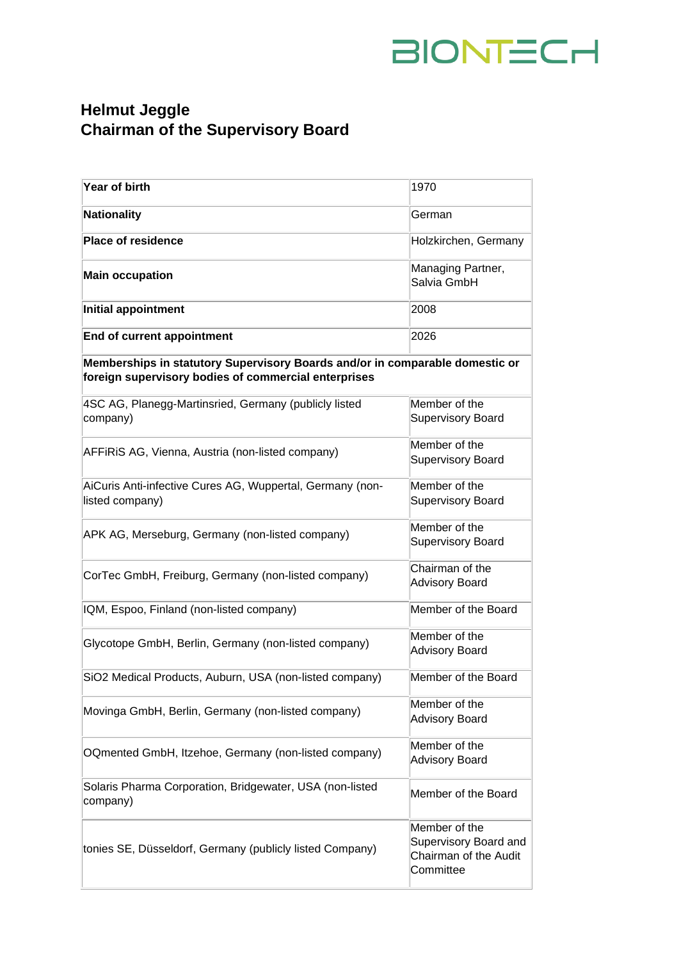## BIONTECH

## **Helmut Jeggle Chairman of the Supervisory Board**

| Year of birth                                                                                                                        | 1970                                                                         |
|--------------------------------------------------------------------------------------------------------------------------------------|------------------------------------------------------------------------------|
| <b>Nationality</b>                                                                                                                   | German                                                                       |
| <b>Place of residence</b>                                                                                                            | Holzkirchen, Germany                                                         |
| <b>Main occupation</b>                                                                                                               | Managing Partner,<br>Salvia GmbH                                             |
| Initial appointment                                                                                                                  | 2008                                                                         |
| End of current appointment                                                                                                           | 2026                                                                         |
| Memberships in statutory Supervisory Boards and/or in comparable domestic or<br>foreign supervisory bodies of commercial enterprises |                                                                              |
| 4SC AG, Planegg-Martinsried, Germany (publicly listed<br>company)                                                                    | Member of the<br>Supervisory Board                                           |
| AFFIRIS AG, Vienna, Austria (non-listed company)                                                                                     | Member of the<br>Supervisory Board                                           |
| AiCuris Anti-infective Cures AG, Wuppertal, Germany (non-<br>listed company)                                                         | Member of the<br>Supervisory Board                                           |
| APK AG, Merseburg, Germany (non-listed company)                                                                                      | Member of the<br>Supervisory Board                                           |
| CorTec GmbH, Freiburg, Germany (non-listed company)                                                                                  | Chairman of the<br><b>Advisory Board</b>                                     |
| IQM, Espoo, Finland (non-listed company)                                                                                             | Member of the Board                                                          |
| Glycotope GmbH, Berlin, Germany (non-listed company)                                                                                 | Member of the<br><b>Advisory Board</b>                                       |
| SiO2 Medical Products, Auburn, USA (non-listed company)                                                                              | Member of the Board                                                          |
| Movinga GmbH, Berlin, Germany (non-listed company)                                                                                   | Member of the<br><b>Advisory Board</b>                                       |
| OQmented GmbH, Itzehoe, Germany (non-listed company)                                                                                 | Member of the<br><b>Advisory Board</b>                                       |
| Solaris Pharma Corporation, Bridgewater, USA (non-listed<br>company)                                                                 | Member of the Board                                                          |
| tonies SE, Düsseldorf, Germany (publicly listed Company)                                                                             | Member of the<br>Supervisory Board and<br>Chairman of the Audit<br>Committee |